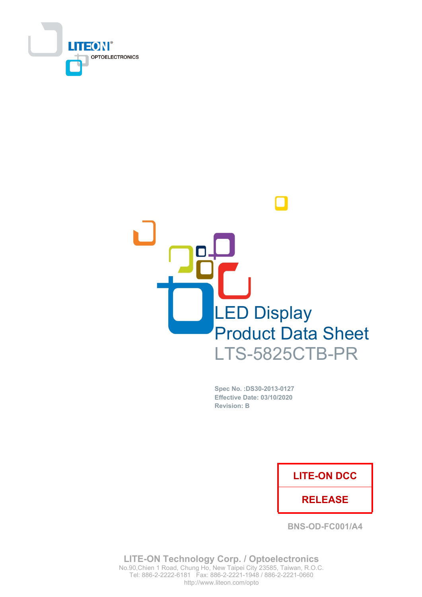



Spec No. : DS30-2013-0127 Effective Date: 03/10/2020 **Revision: B** 

### **LITE-ON DCC**

### **RELEASE**

**BNS-OD-FC001/A4** 

**LITE-ON Technology Corp. / Optoelectronics** No.90, Chien 1 Road, Chung Ho, New Taipei City 23585, Taiwan, R.O.C. Tel: 886-2-2222-6181 Fax: 886-2-2221-1948 / 886-2-2221-0660 http://www.liteon.com/opto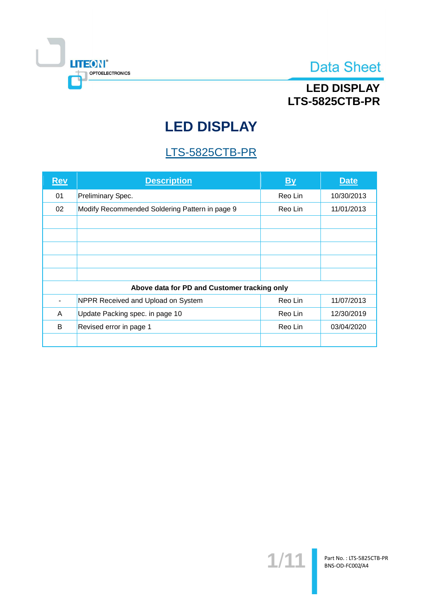

## **LED DISPLAY LTS-5825CTB-PR**

# **LED DISPLAY**

## LTS-5825CTB-PR

| <b>Rev</b>                                   | <b>Description</b>                             | <b>By</b> | <b>Date</b> |  |  |
|----------------------------------------------|------------------------------------------------|-----------|-------------|--|--|
| 01                                           | Preliminary Spec.                              | Reo Lin   | 10/30/2013  |  |  |
| 02                                           | Modify Recommended Soldering Pattern in page 9 | Reo Lin   | 11/01/2013  |  |  |
|                                              |                                                |           |             |  |  |
|                                              |                                                |           |             |  |  |
|                                              |                                                |           |             |  |  |
|                                              |                                                |           |             |  |  |
|                                              |                                                |           |             |  |  |
| Above data for PD and Customer tracking only |                                                |           |             |  |  |
|                                              | NPPR Received and Upload on System             | Reo Lin   | 11/07/2013  |  |  |
| A                                            | Update Packing spec. in page 10                | Reo Lin   | 12/30/2019  |  |  |
| B                                            | Revised error in page 1                        | Reo Lin   | 03/04/2020  |  |  |
|                                              |                                                |           |             |  |  |

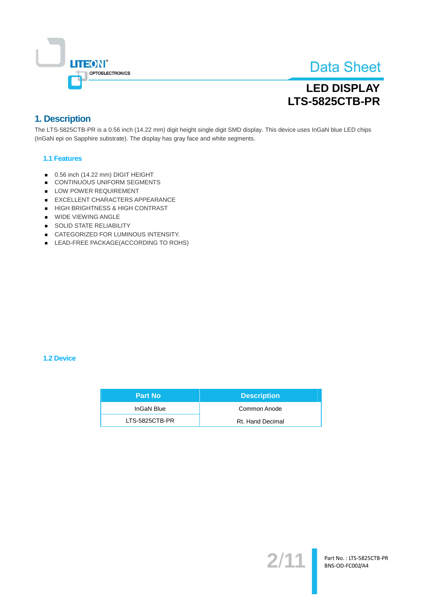

# **LED DISPLAY LTS-5825CTB-PR**

### 1. Description

The LTS-5825CTB-PR is a 0.56 inch (14.22 mm) digit height single digit SMD display. This device uses InGaN blue LED chips (InGaN epi on Sapphire substrate). The display has gray face and white segments.

### **1.1 Features**

- 0.56 inch (14.22 mm) DIGIT HEIGHT
- CONTINUOUS UNIFORM SEGMENTS
- LOW POWER REQUIREMENT
- EXCELLENT CHARACTERS APPEARANCE
- HIGH BRIGHTNESS & HIGH CONTRAST
- **WIDE VIEWING ANGLE**
- SOLID STATE RELIABILITY
- CATEGORIZED FOR LUMINOUS INTENSITY.
- LEAD-FREE PACKAGE(ACCORDING TO ROHS)

#### **1.2 Device**

| <b>Part No</b> | <b>Description</b> |
|----------------|--------------------|
| InGaN Blue     | Common Anode       |
| LTS-5825CTB-PR | Rt. Hand Decimal   |

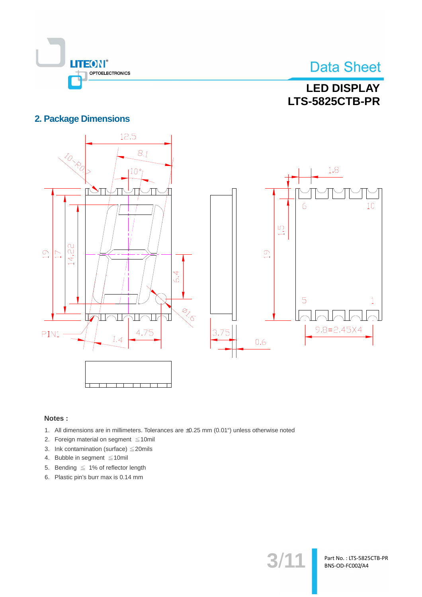

Part No.: LTS-5825CTB-PR BNS-OD-FC002/A4

## **LED DISPLAY LTS-5825CTB-PR**

### **2. Package Dimensions**



### Notes:

- 1. All dimensions are in millimeters. Tolerances are ±0.25 mm (0.01") unless otherwise noted
- 2. Foreign material on segment  $\leq 10$ mil
- 3. Ink contamination (surface)  $\leq$  20mils
- 4. Bubble in segment ≤10mil
- 5. Bending  $\leq 1\%$  of reflector length
- 6. Plastic pin's burr max is 0.14 mm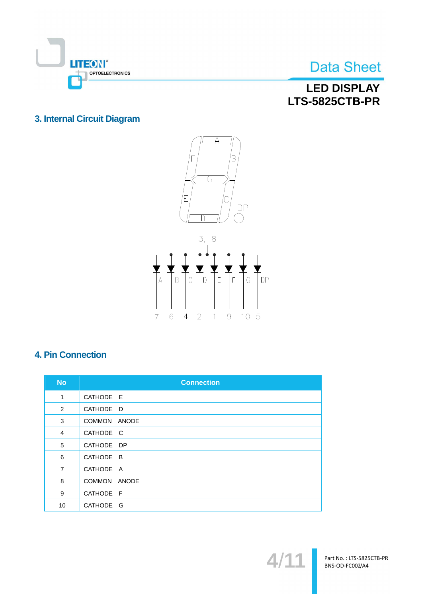

## **LED DISPLAY LTS-5825CTB-PR**

### 3. Internal Circuit Diagram





## **4. Pin Connection**

| <b>No</b>      | <b>Connection</b> |
|----------------|-------------------|
| 1              | CATHODE E         |
| 2              | CATHODE D         |
| 3              | COMMON ANODE      |
| 4              | CATHODE C         |
| 5              | CATHODE DP        |
| 6              | CATHODE B         |
| $\overline{7}$ | CATHODE A         |
| 8              | COMMON ANODE      |
| 9              | CATHODE F         |
| 10             | CATHODE G         |

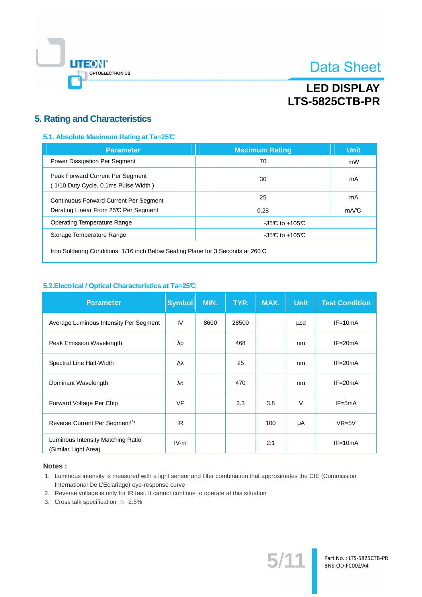

# **LED DISPLAY LTS-5825CTB-PR**

### **5. Rating and Characteristics**

### 5.1. Absolute Maximum Rating at Ta=25°C

| <b>Parameter</b>                                                                       | <b>Maximum Rating</b> | <b>Unit</b> |
|----------------------------------------------------------------------------------------|-----------------------|-------------|
| <b>Power Dissipation Per Segment</b>                                                   | 70                    | mW          |
| Peak Forward Current Per Segment<br>(1/10 Duty Cycle, 0.1ms Pulse Width)               | 30                    | mA          |
| <b>Continuous Forward Current Per Segment</b><br>Derating Linear From 25°C Per Segment | 25<br>0.28            | mA<br>mA/C  |
| Operating Temperature Range                                                            | $-35C$ to $+105C$     |             |
| Storage Temperature Range                                                              | $-35C$ to $+105C$     |             |
|                                                                                        |                       |             |

Iron Soldering Conditions: 1/16 inch Below Seating Plane for 3 Seconds at 260°C

### 5.2. Electrical / Optical Characteristics at Ta=25°C

| <b>Parameter</b>                                          | <b>Symbol</b>    | MIN. | TYP.  | MAX. | <b>Unit</b> | <b>Test Condition</b> |
|-----------------------------------------------------------|------------------|------|-------|------|-------------|-----------------------|
| Average Luminous Intensity Per Segment                    | IV               | 8600 | 28500 |      | μcd         | $IF = 10mA$           |
| Peak Emission Wavelength                                  | $\lambda$ p      |      | 468   |      | nm          | $IF = 20mA$           |
| Spectral Line Half-Width                                  | $\Delta \lambda$ |      | 25    |      | nm          | $IF = 20mA$           |
| Dominant Wavelength                                       | λd               |      | 470   |      | nm          | $IF = 20mA$           |
| Forward Voltage Per Chip                                  | <b>VF</b>        |      | 3.3   | 3.8  | $\vee$      | $IF = 5mA$            |
| Reverse Current Per Segment <sup>(2)</sup>                | IR.              |      |       | 100  | μA          | $VR=5V$               |
| Luminous Intensity Matching Ratio<br>(Similar Light Area) | $IV-m$           |      |       | 2:1  |             | $IF=10mA$             |

### Notes:

- 1. Luminous intensity is measured with a light sensor and filter combination that approximates the CIE (Commission International De L'Eclariage) eye-response curve
- 2. Reverse voltage is only for IR test. It cannot continue to operate at this situation
- 3. Cross talk specification  $\leq 2.5\%$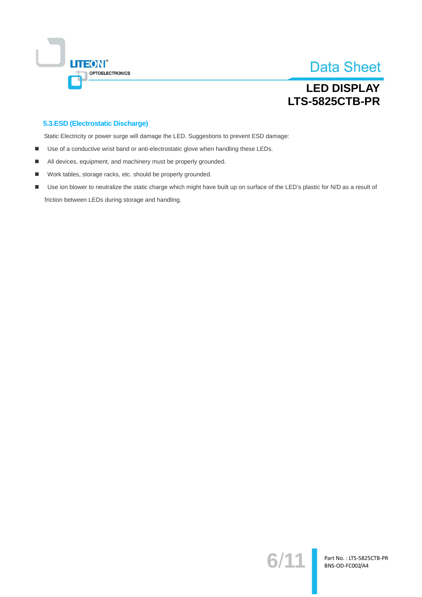

## **LED DISPLAY LTS-5825CTB-PR**

### 5.3.ESD (Electrostatic Discharge)

Static Electricity or power surge will damage the LED. Suggestions to prevent ESD damage:

- Use of a conductive wrist band or anti-electrostatic glove when handling these LEDs.  $\blacksquare$
- All devices, equipment, and machinery must be properly grounded. ٠
- Work tables, storage racks, etc. should be properly grounded.  $\blacksquare$
- Use ion blower to neutralize the static charge which might have built up on surface of the LED's plastic for N/D as a result of  $\blacksquare$ friction between LEDs during storage and handling.

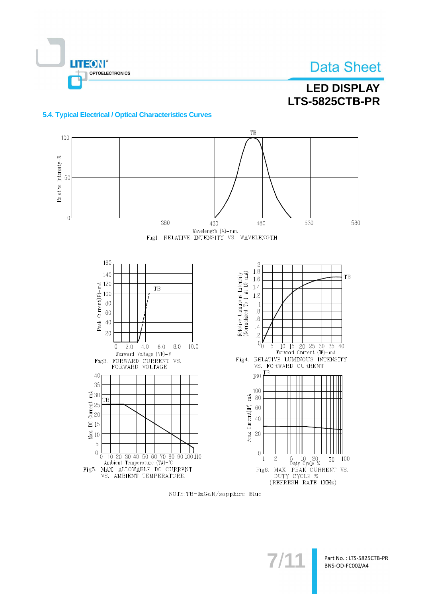

## **LED DISPLAY LTS-5825CTB-PR**

### 5.4. Typical Electrical / Optical Characteristics Curves



NOTE: TB=InGaN/sapphire Blue

 $7/1$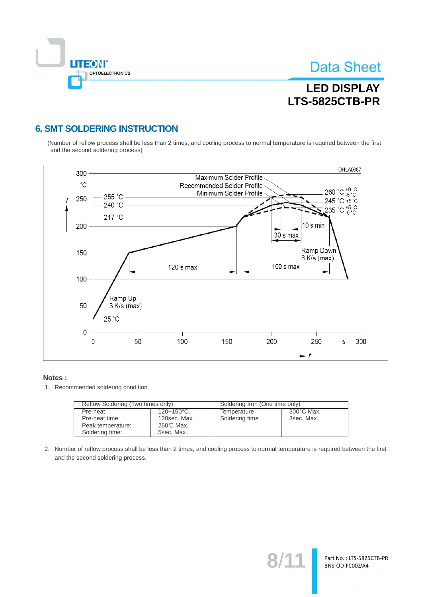

Part No.: LTS-5825CTB-PR BNS-OD-FC002/A4

# **LED DISPLAY LTS-5825CTB-PR**

### **6. SMT SOLDERING INSTRUCTION**

(Number of reflow process shall be less than 2 times, and cooling process to normal temperature is required between the first and the second soldering process)



#### Notes:

1. Recommended soldering condition

| Reflow Soldering (Two times only) |                        | Soldering Iron (One time only) |                      |  |
|-----------------------------------|------------------------|--------------------------------|----------------------|--|
| Pre-heat:                         | $120 - 150^{\circ}$ C. | Temperature                    | $300^{\circ}$ C Max. |  |
| Pre-heat time:                    | 120sec. Max.           | Soldering time                 | 3sec. Max.           |  |
| Peak temperature:                 | 260℃ Max.              |                                |                      |  |
| Soldering time:                   | 5sec. Max.             |                                |                      |  |

2. Number of reflow process shall be less than 2 times, and cooling process to normal temperature is required between the first and the second soldering process.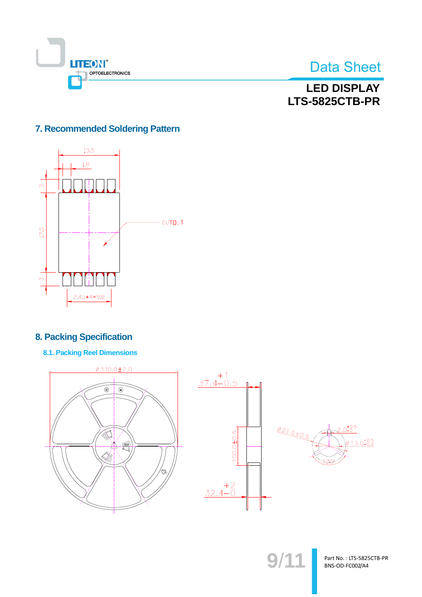



**LED DISPLAY LTS-5825CTB-PR** 

### 7. Recommended Soldering Pattern



### **8. Packing Specification**

**8.1. Packing Reel Dimensions** 





 $9/11$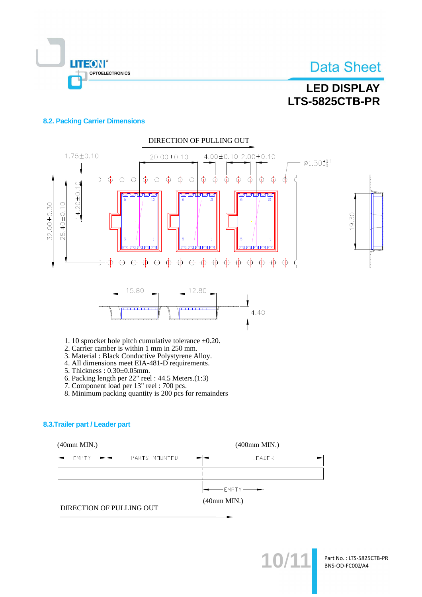

# **LED DISPLAY LTS-5825CTB-PR**

### **8.2. Packing Carrier Dimensions**



- 4. All dimensions meet EIA-481-D requirements.
- 5. Thickness: 0.30±0.05mm.
- 6. Packing length per 22" reel : 44.5 Meters.(1:3)<br>7. Component load per 13" reel : 700 pcs.
- 
- 8. Minimum packing quantity is 200 pcs for remainders

### 8.3. Trailer part / Leader part

### $(40mm MIN.)$

 $(400$ mm MIN.)

| $-$ LEADER $-$                   |
|----------------------------------|
|                                  |
| $\leftarrow$ EMPTY $\rightarrow$ |

 $(40mm MIN.)$ 

DIRECTION OF PULLING OUT